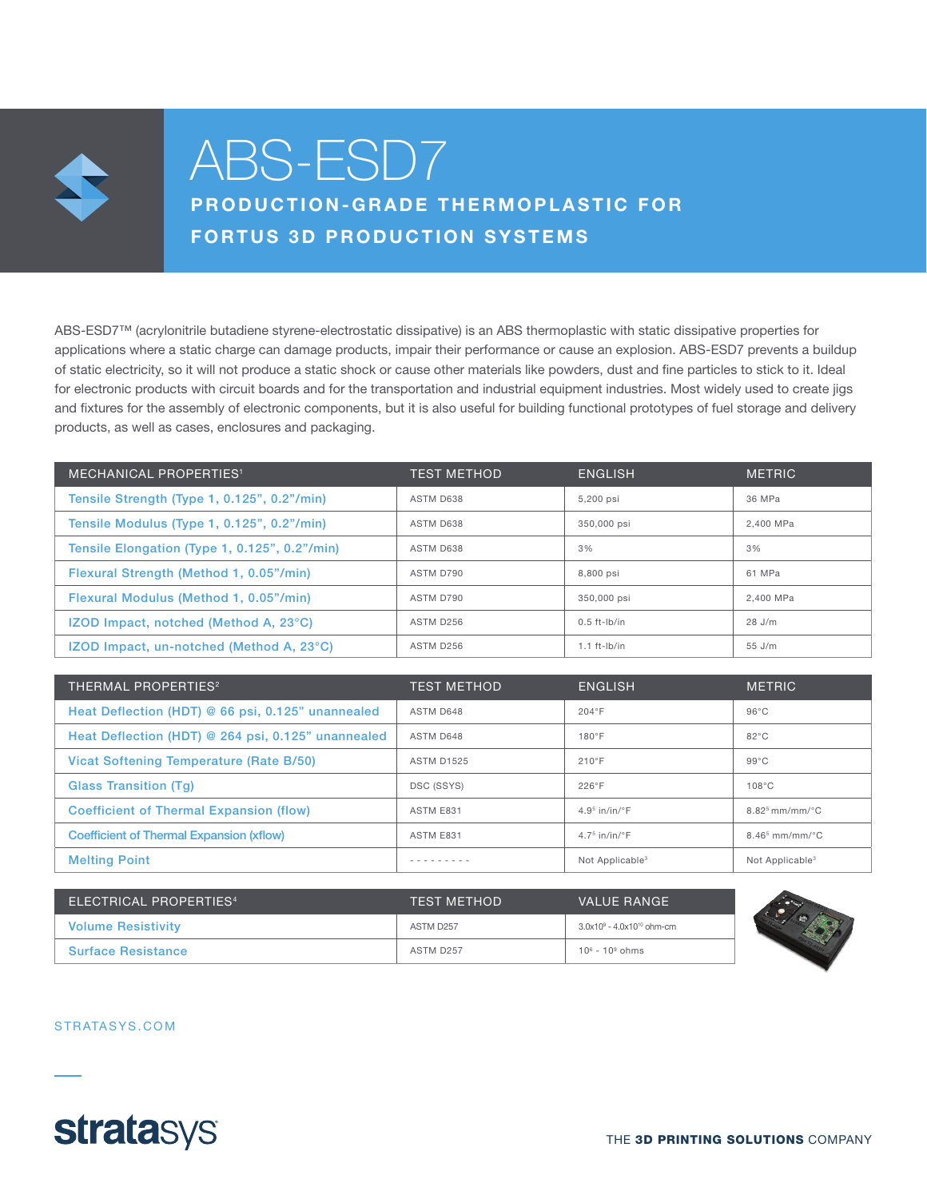

# ABS-ESD7

PRODUCTION-GRADE THERMOPLASTIC FOR FORTUS 3D PRODUCTION SYSTEMS

ABS-ESD7™ (acrylonitrile butadiene styrene-electrostatic dissipative) is an ABS thermoplastic with static dissipative properties for applications where a static charge can damage products, impair their performance or cause an explosion. ABS-ESD7 prevents a buildup of static electricity, so it will not produce a static shock or cause other materials like powders, dust and fine particles to stick to it. Ideal for electronic products with circuit boards and for the transportation and industrial equipment industries. Most widely used to create jigs and fixtures for the assembly of electronic components, but it is also useful for building functional prototypes of fuel storage and delivery products, as well as cases, enclosures and packaging.

| <b>MECHANICAL PROPERTIES<sup>1</sup></b>      | <b>TEST METHOD</b> | <b>ENGLISH</b>    | <b>METRIC</b> |
|-----------------------------------------------|--------------------|-------------------|---------------|
| Tensile Strength (Type 1, 0.125", 0.2"/min)   | ASTM D638          | 5.200 psi         | 36 MPa        |
| Tensile Modulus (Type 1, 0.125", 0.2"/min)    | ASTM D638          | 350,000 psi       | 2.400 MPa     |
| Tensile Elongation (Type 1, 0.125", 0.2"/min) | ASTM D638          | 3%                | 3%            |
| Flexural Strength (Method 1, 0.05"/min)       | ASTM D790          | 8.800 psi         | 61 MPa        |
| Flexural Modulus (Method 1, 0.05"/min)        | ASTM D790          | 350,000 psi       | 2.400 MPa     |
| <b>IZOD Impact, notched (Method A, 23°C)</b>  | ASTM D256          | $0.5$ ft-lb/in    | 28 J/m        |
| IZOD Impact, un-notched (Method A, 23°C)      | ASTM D256          | $1.1$ ft- $lb/in$ | $55$ J/m      |

| THERMAL PROPERTIES <sup>2</sup>                    | <b>TEST METHOD</b> | <b>ENGLISH</b>              | <b>METRIC</b>               |
|----------------------------------------------------|--------------------|-----------------------------|-----------------------------|
| Heat Deflection (HDT) @ 66 psi, 0.125" unannealed  | ASTM D648          | 204°F                       | $96^{\circ}$ C              |
| Heat Deflection (HDT) @ 264 psi, 0.125" unannealed | ASTM D648          | 180°F                       | $82^{\circ}$ C              |
| Vicat Softening Temperature (Rate B/50)            | <b>ASTM D1525</b>  | 210°F                       | $99^{\circ}$ C              |
| <b>Glass Transition (Tg)</b>                       | DSC (SSYS)         | 226°F                       | 108°C                       |
| <b>Coefficient of Thermal Expansion (flow)</b>     | ASTM E831          | $4.95$ in/in/°F             | $8.82^5$ mm/mm/°C           |
| <b>Coefficient of Thermal Expansion (xflow)</b>    | ASTM E831          | $4.75$ in/in/°F             | $8.465$ mm/mm/ $°C$         |
| <b>Melting Point</b>                               |                    | Not Applicable <sup>3</sup> | Not Applicable <sup>3</sup> |

| ELECTRICAL PROPERTIES <sup>4</sup> | <b>TEST METHOD</b> | VALUE RANGE                     |  |
|------------------------------------|--------------------|---------------------------------|--|
| <b>Volume Resistivity</b>          | ASTM D257          | $3.0x10^9 - 4.0x10^{10}$ ohm-cm |  |
| <b>Surface Resistance</b>          | ASTM D257          | $10^6 - 10^9$ ohms              |  |



STRATASYS.COM